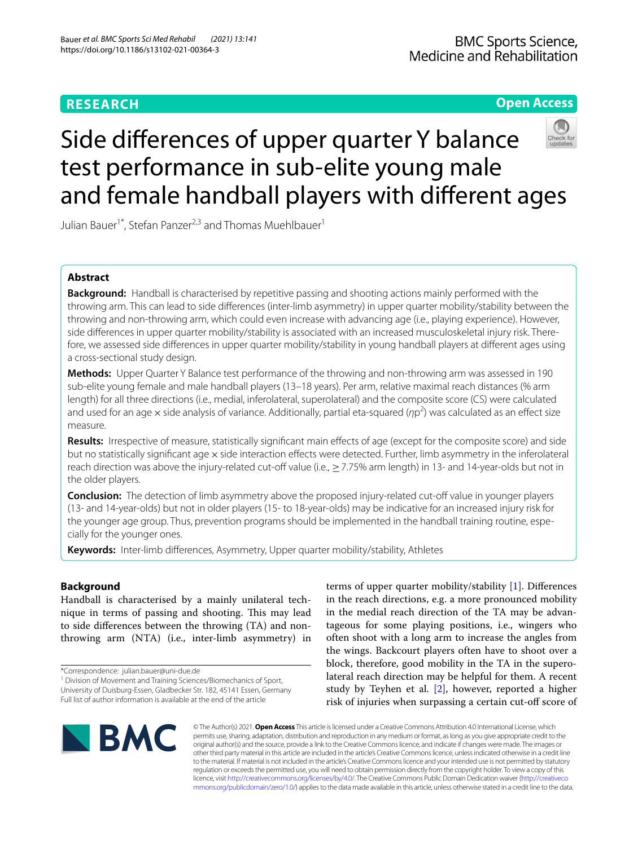# **RESEARCH**

# **Open Access**



# Side diferences of upper quarter Y balance test performance in sub-elite young male and female handball players with diferent ages

Julian Bauer<sup>1\*</sup>, Stefan Panzer<sup>2,3</sup> and Thomas Muehlbauer<sup>1</sup>

# **Abstract**

**Background:** Handball is characterised by repetitive passing and shooting actions mainly performed with the throwing arm. This can lead to side diferences (inter-limb asymmetry) in upper quarter mobility/stability between the throwing and non-throwing arm, which could even increase with advancing age (i.e., playing experience). However, side diferences in upper quarter mobility/stability is associated with an increased musculoskeletal injury risk. Therefore, we assessed side diferences in upper quarter mobility/stability in young handball players at diferent ages using a cross-sectional study design.

**Methods:** Upper Quarter Y Balance test performance of the throwing and non-throwing arm was assessed in 190 sub-elite young female and male handball players (13–18 years). Per arm, relative maximal reach distances (% arm length) for all three directions (i.e., medial, inferolateral, superolateral) and the composite score (CS) were calculated and used for an age × side analysis of variance. Additionally, partial eta-squared (ηp<sup>2</sup>) was calculated as an effect size measure.

**Results:** Irrespective of measure, statistically signifcant main efects of age (except for the composite score) and side but no statistically significant age x side interaction effects were detected. Further, limb asymmetry in the inferolateral reach direction was above the injury-related cut-off value (i.e.,  $\geq$  7.75% arm length) in 13- and 14-year-olds but not in the older players.

**Conclusion:** The detection of limb asymmetry above the proposed injury-related cut-off value in younger players (13- and 14-year-olds) but not in older players (15- to 18-year-olds) may be indicative for an increased injury risk for the younger age group. Thus, prevention programs should be implemented in the handball training routine, especially for the younger ones.

**Keywords:** Inter-limb diferences, Asymmetry, Upper quarter mobility/stability, Athletes

# **Background**

Handball is characterised by a mainly unilateral technique in terms of passing and shooting. This may lead to side diferences between the throwing (TA) and nonthrowing arm (NTA) (i.e., inter-limb asymmetry) in

<sup>1</sup> Division of Movement and Training Sciences/Biomechanics of Sport, University of Duisburg-Essen, Gladbecker Str. 182, 45141 Essen, Germany Full list of author information is available at the end of the article

terms of upper quarter mobility/stability [[1\]](#page-6-0). Diferences in the reach directions, e.g. a more pronounced mobility in the medial reach direction of the TA may be advantageous for some playing positions, i.e., wingers who often shoot with a long arm to increase the angles from the wings. Backcourt players often have to shoot over a block, therefore, good mobility in the TA in the superolateral reach direction may be helpful for them. A recent study by Teyhen et al. [\[2](#page-6-1)], however, reported a higher risk of injuries when surpassing a certain cut-of score of



© The Author(s) 2021. **Open Access** This article is licensed under a Creative Commons Attribution 4.0 International License, which permits use, sharing, adaptation, distribution and reproduction in any medium or format, as long as you give appropriate credit to the original author(s) and the source, provide a link to the Creative Commons licence, and indicate if changes were made. The images or other third party material in this article are included in the article's Creative Commons licence, unless indicated otherwise in a credit line to the material. If material is not included in the article's Creative Commons licence and your intended use is not permitted by statutory regulation or exceeds the permitted use, you will need to obtain permission directly from the copyright holder. To view a copy of this licence, visit [http://creativecommons.org/licenses/by/4.0/.](http://creativecommons.org/licenses/by/4.0/) The Creative Commons Public Domain Dedication waiver ([http://creativeco](http://creativecommons.org/publicdomain/zero/1.0/) [mmons.org/publicdomain/zero/1.0/](http://creativecommons.org/publicdomain/zero/1.0/)) applies to the data made available in this article, unless otherwise stated in a credit line to the data.

<sup>\*</sup>Correspondence: julian.bauer@uni-due.de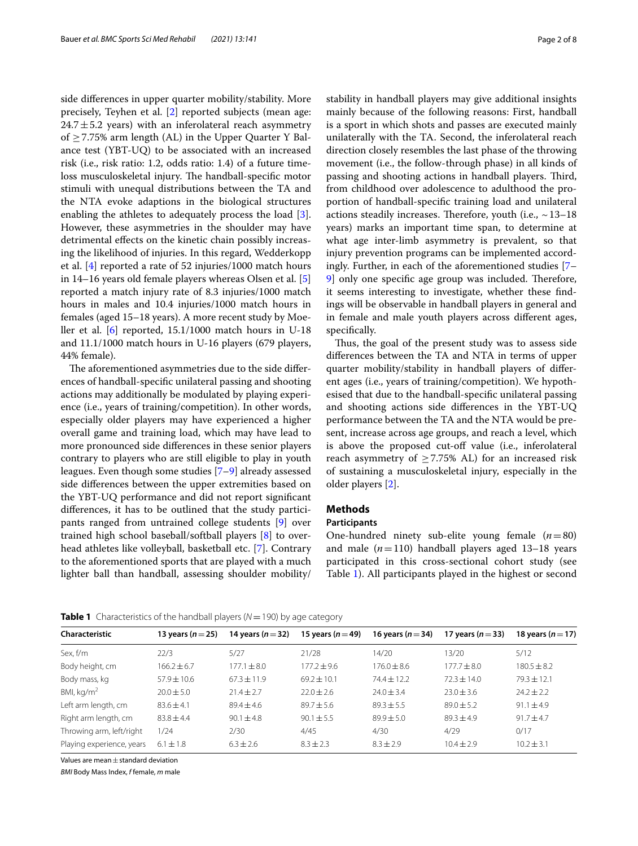side diferences in upper quarter mobility/stability. More precisely, Teyhen et al. [\[2](#page-6-1)] reported subjects (mean age:  $24.7 \pm 5.2$  years) with an inferolateral reach asymmetry of  $\geq$  7.75% arm length (AL) in the Upper Quarter Y Balance test (YBT-UQ) to be associated with an increased risk (i.e., risk ratio: 1.2, odds ratio: 1.4) of a future timeloss musculoskeletal injury. The handball-specific motor stimuli with unequal distributions between the TA and the NTA evoke adaptions in the biological structures enabling the athletes to adequately process the load [\[3](#page-6-2)]. However, these asymmetries in the shoulder may have detrimental efects on the kinetic chain possibly increasing the likelihood of injuries. In this regard, Wedderkopp et al. [[4\]](#page-6-3) reported a rate of 52 injuries/1000 match hours in 14–16 years old female players whereas Olsen et al. [\[5](#page-6-4)] reported a match injury rate of 8.3 injuries/1000 match hours in males and 10.4 injuries/1000 match hours in females (aged 15–18 years). A more recent study by Moeller et al. [\[6](#page-7-0)] reported, 15.1/1000 match hours in U-18 and 11.1/1000 match hours in U-16 players (679 players, 44% female).

The aforementioned asymmetries due to the side differences of handball-specifc unilateral passing and shooting actions may additionally be modulated by playing experience (i.e., years of training/competition). In other words, especially older players may have experienced a higher overall game and training load, which may have lead to more pronounced side diferences in these senior players contrary to players who are still eligible to play in youth leagues. Even though some studies [\[7](#page-7-1)[–9\]](#page-7-2) already assessed side diferences between the upper extremities based on the YBT-UQ performance and did not report signifcant diferences, it has to be outlined that the study participants ranged from untrained college students [\[9](#page-7-2)] over trained high school baseball/softball players [\[8](#page-7-3)] to overhead athletes like volleyball, basketball etc. [[7\]](#page-7-1). Contrary to the aforementioned sports that are played with a much lighter ball than handball, assessing shoulder mobility/

stability in handball players may give additional insights mainly because of the following reasons: First, handball is a sport in which shots and passes are executed mainly unilaterally with the TA. Second, the inferolateral reach direction closely resembles the last phase of the throwing movement (i.e., the follow-through phase) in all kinds of passing and shooting actions in handball players. Third, from childhood over adolescence to adulthood the proportion of handball-specifc training load and unilateral actions steadily increases. Therefore, youth (i.e.,  $\sim$  13–18 years) marks an important time span, to determine at what age inter-limb asymmetry is prevalent, so that injury prevention programs can be implemented accordingly. Further, in each of the aforementioned studies [[7–](#page-7-1) [9\]](#page-7-2) only one specific age group was included. Therefore, it seems interesting to investigate, whether these fndings will be observable in handball players in general and in female and male youth players across diferent ages, specifcally.

Thus, the goal of the present study was to assess side diferences between the TA and NTA in terms of upper quarter mobility/stability in handball players of diferent ages (i.e., years of training/competition). We hypothesised that due to the handball-specifc unilateral passing and shooting actions side diferences in the YBT-UQ performance between the TA and the NTA would be present, increase across age groups, and reach a level, which is above the proposed cut-off value (i.e., inferolateral reach asymmetry of  $\geq$  7.75% AL) for an increased risk of sustaining a musculoskeletal injury, especially in the older players [\[2](#page-6-1)].

# **Methods**

# **Participants**

One-hundred ninety sub-elite young female (*n*=80) and male (*n*=110) handball players aged 13–18 years participated in this cross-sectional cohort study (see Table [1\)](#page-1-0). All participants played in the highest or second

<span id="page-1-0"></span>**Table 1** Characteristics of the handball players ( $N = 190$ ) by age category

| Characteristic            | 13 years ( $n = 25$ ) | 14 years ( $n = 32$ ) | 15 years ( $n = 49$ ) | 16 years ( $n = 34$ ) | 17 years ( $n = 33$ ) | 18 years $(n=17)$ |
|---------------------------|-----------------------|-----------------------|-----------------------|-----------------------|-----------------------|-------------------|
| Sex, f/m                  | 22/3                  | 5/27                  | 21/28                 | 14/20                 | 13/20                 | 5/12              |
| Body height, cm           | $166.2 + 6.7$         | $177.1 + 8.0$         | $177.2 \pm 9.6$       | $176.0 + 8.6$         | $177.7 + 8.0$         | $180.5 \pm 8.2$   |
| Body mass, kg             | $57.9 \pm 10.6$       | $67.3 + 11.9$         | $69.2 \pm 10.1$       | $74.4 + 12.2$         | $72.3 \pm 14.0$       | $79.3 + 12.1$     |
| BMI, $kg/m2$              | $20.0 + 5.0$          | $21.4 + 2.7$          | $22.0 \pm 2.6$        | $24.0 \pm 3.4$        | $23.0 + 3.6$          | $24.2 \pm 2.2$    |
| Left arm length, cm       | $83.6 + 4.1$          | $89.4 + 4.6$          | $89.7 + 5.6$          | $89.3 + 5.5$          | $89.0 + 5.2$          | $91.1 \pm 4.9$    |
| Right arm length, cm      | $83.8 + 4.4$          | $90.1 + 4.8$          | $90.1 + 5.5$          | $89.9 + 5.0$          | $89.3 + 4.9$          | $91.7 + 4.7$      |
| Throwing arm, left/right  | 1/24                  | 2/30                  | 4/45                  | 4/30                  | 4/29                  | 0/17              |
| Playing experience, years | $6.1 \pm 1.8$         | $6.3 \pm 2.6$         | $8.3 + 2.3$           | $8.3 + 2.9$           | $10.4 + 2.9$          | $10.2 + 3.1$      |
|                           |                       |                       |                       |                       |                       |                   |

Values are mean  $\pm$  standard deviation

*BMI* Body Mass Index, *f* female, *m* male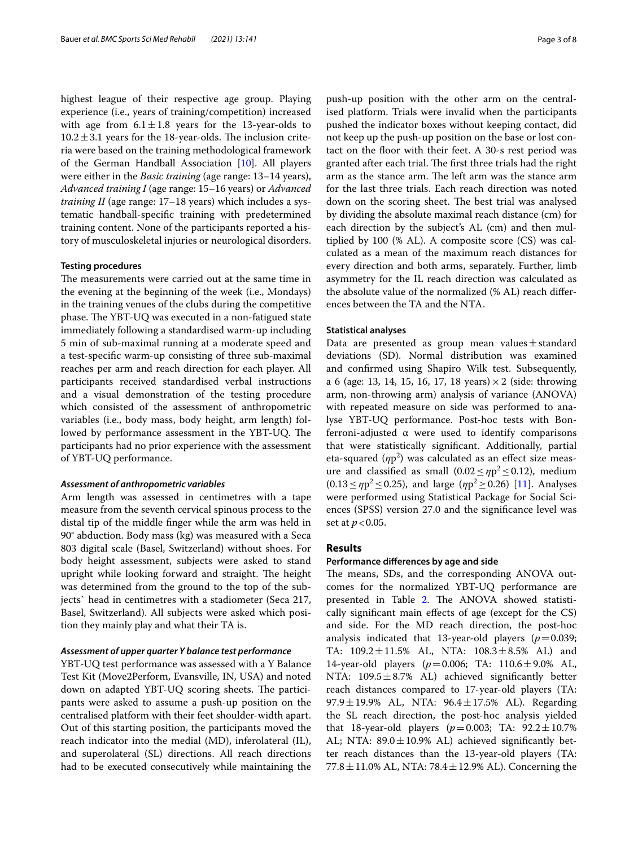highest league of their respective age group. Playing experience (i.e., years of training/competition) increased with age from  $6.1 \pm 1.8$  years for the 13-year-olds to  $10.2 \pm 3.1$  years for the 18-year-olds. The inclusion criteria were based on the training methodological framework of the German Handball Association [[10\]](#page-7-4). All players were either in the *Basic training* (age range: 13–14 years), *Advanced training I* (age range: 15–16 years) or *Advanced training II* (age range: 17–18 years) which includes a systematic handball-specifc training with predetermined training content. None of the participants reported a history of musculoskeletal injuries or neurological disorders.

## **Testing procedures**

The measurements were carried out at the same time in the evening at the beginning of the week (i.e., Mondays) in the training venues of the clubs during the competitive phase. The YBT-UQ was executed in a non-fatigued state immediately following a standardised warm-up including 5 min of sub-maximal running at a moderate speed and a test-specifc warm-up consisting of three sub-maximal reaches per arm and reach direction for each player. All participants received standardised verbal instructions and a visual demonstration of the testing procedure which consisted of the assessment of anthropometric variables (i.e., body mass, body height, arm length) followed by performance assessment in the YBT-UQ. The participants had no prior experience with the assessment of YBT-UQ performance.

#### *Assessment of anthropometric variables*

Arm length was assessed in centimetres with a tape measure from the seventh cervical spinous process to the distal tip of the middle fnger while the arm was held in 90° abduction. Body mass (kg) was measured with a Seca 803 digital scale (Basel, Switzerland) without shoes. For body height assessment, subjects were asked to stand upright while looking forward and straight. The height was determined from the ground to the top of the subjects` head in centimetres with a stadiometer (Seca 217, Basel, Switzerland). All subjects were asked which position they mainly play and what their TA is.

## *Assessment of upper quarter Y balance test performance*

YBT-UQ test performance was assessed with a Y Balance Test Kit (Move2Perform, Evansville, IN, USA) and noted down on adapted YBT-UQ scoring sheets. The participants were asked to assume a push-up position on the centralised platform with their feet shoulder-width apart. Out of this starting position, the participants moved the reach indicator into the medial (MD), inferolateral (IL), and superolateral (SL) directions. All reach directions had to be executed consecutively while maintaining the push-up position with the other arm on the centralised platform. Trials were invalid when the participants pushed the indicator boxes without keeping contact, did not keep up the push-up position on the base or lost contact on the floor with their feet. A 30-s rest period was granted after each trial. The first three trials had the right arm as the stance arm. The left arm was the stance arm for the last three trials. Each reach direction was noted down on the scoring sheet. The best trial was analysed by dividing the absolute maximal reach distance (cm) for each direction by the subject's AL (cm) and then multiplied by 100 (% AL). A composite score (CS) was calculated as a mean of the maximum reach distances for every direction and both arms, separately. Further, limb asymmetry for the IL reach direction was calculated as the absolute value of the normalized (% AL) reach diferences between the TA and the NTA.

## **Statistical analyses**

Data are presented as group mean values $\pm$ standard deviations (SD). Normal distribution was examined and confrmed using Shapiro Wilk test. Subsequently, a 6 (age: 13, 14, 15, 16, 17, 18 years)  $\times$  2 (side: throwing arm, non-throwing arm) analysis of variance (ANOVA) with repeated measure on side was performed to analyse YBT-UQ performance. Post-hoc tests with Bonferroni-adjusted α were used to identify comparisons that were statistically signifcant. Additionally, partial eta-squared ( $/$ p<sup>2</sup>) was calculated as an effect size measure and classified as small  $(0.02 \le np^2 \le 0.12)$ , medium (0.13≤*η*p2≤0.25), and large (*η*p2≥0.26) [[11\]](#page-7-5). Analyses were performed using Statistical Package for Social Sciences (SPSS) version 27.0 and the signifcance level was set at  $p < 0.05$ .

# **Results**

#### **Performance diferences by age and side**

The means, SDs, and the corresponding ANOVA outcomes for the normalized YBT-UQ performance are presented in Table [2.](#page-3-0) The ANOVA showed statistically signifcant main efects of age (except for the CS) and side. For the MD reach direction, the post-hoc analysis indicated that 13-year-old players  $(p=0.039;$ TA:  $109.2 \pm 11.5\%$  AL, NTA:  $108.3 \pm 8.5\%$  AL) and 14-year-old players (*p*=0.006; TA: 110.6±9.0% AL, NTA:  $109.5 \pm 8.7$ % AL) achieved significantly better reach distances compared to 17-year-old players (TA: 97.9±19.9% AL, NTA: 96.4±17.5% AL). Regarding the SL reach direction, the post-hoc analysis yielded that 18-year-old players (*p*=0.003; TA: 92.2±10.7% AL; NTA:  $89.0 \pm 10.9\%$  AL) achieved significantly better reach distances than the 13-year-old players (TA:  $77.8 \pm 11.0$ % AL, NTA:  $78.4 \pm 12.9$ % AL). Concerning the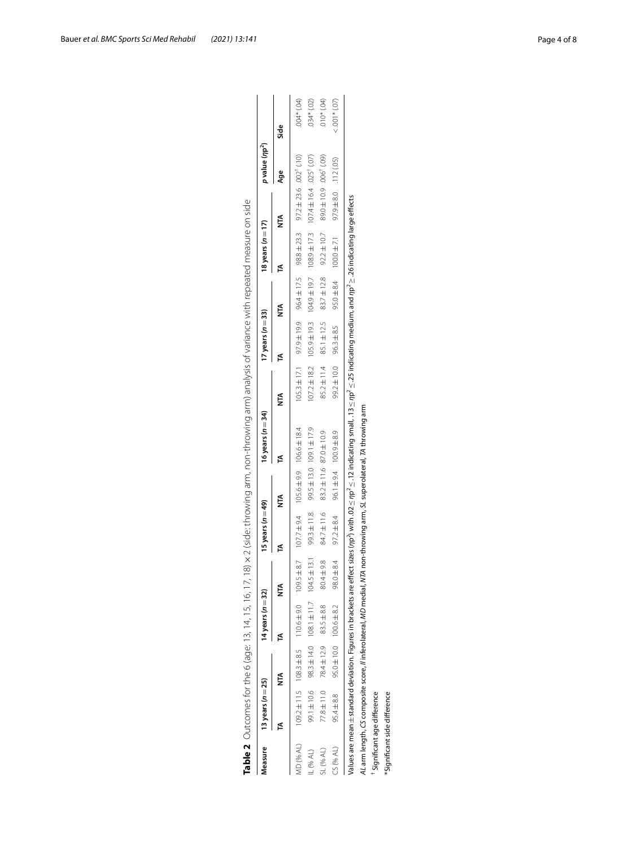<span id="page-3-0"></span>

| Measure    | 13 years $(n=25)$                                                                                                       |                                                  | 14 years $(n=32)$                |                  | 15 years ( $n=49$ )                                              |                                  | 16 years $(n=34)$ |                                                                                                                                                                                               | 17 years ( $n = 33$ )             |                                 | 18 years $(n=17)$ |                                                                                        | p value (np <sup>2</sup> ) |                    |
|------------|-------------------------------------------------------------------------------------------------------------------------|--------------------------------------------------|----------------------------------|------------------|------------------------------------------------------------------|----------------------------------|-------------------|-----------------------------------------------------------------------------------------------------------------------------------------------------------------------------------------------|-----------------------------------|---------------------------------|-------------------|----------------------------------------------------------------------------------------|----------------------------|--------------------|
|            | ≤                                                                                                                       | Ę                                                |                                  |                  | ß                                                                | Ě                                | ₫                 | Ě                                                                                                                                                                                             | £                                 | Ě                               | ₫                 | É                                                                                      | Age                        | Side               |
| MD (% AL)  |                                                                                                                         | $109.2 \pm 11.5$ $108.3 \pm 8.5$ $110.6 \pm 9.0$ |                                  |                  | $109.5 \pm 8.7$ $107.7 \pm 9.4$ $105.6 \pm 9.9$ $106.6 \pm 18.4$ |                                  |                   | $105.3 \pm 17.1$                                                                                                                                                                              |                                   |                                 |                   | 97.9 $\pm$ 19.9 96.4 $\pm$ 17.5 98.8 $\pm$ 23.3 97.2 $\pm$ 23.6 002 <sup>†</sup> (.10) |                            | $(40.04*0.04)$     |
| $-$ (% AL) | 99.1±10.6                                                                                                               |                                                  | 98.3 $\pm$ 14.0 108.1 $\pm$ 11.7 | $104.5 \pm 13.1$ | 99.3 ± 11.8                                                      | 99.5 $\pm$ 13.0 109.1 $\pm$ 17.9 |                   |                                                                                                                                                                                               | $107.2 \pm 18.2$ $105.9 \pm 19.3$ |                                 |                   | 104.9±19.7 108.9±17.3 107.4±16.4 025 (07)                                              |                            | $(50)$ *PS0.       |
| 5L (% AL)  | 77.8±11.0                                                                                                               | 78.4 ± 12.9                                      | 83.5 ± 8.8                       | 804±98           | 84.7±11.6                                                        | 83.2 ± 11.6 87.0 ± 10.9          |                   |                                                                                                                                                                                               | 85.2 ± 11.4 85.1 ± 12.5           | $83.7 \pm 12.8$ $92.2 \pm 10.7$ |                   | 89.0±10.9 .006 1.09)                                                                   |                            | $(40, 010*)$       |
| CS (% AL)  | 95.4 ±8.8                                                                                                               |                                                  | 95.0 ± 10.0 100.6 ± 8.2          | 98.0 ± 8.4       |                                                                  | $96.1 \pm 9.4$ 100.9 $\pm 8.4$   |                   |                                                                                                                                                                                               | 99.2 ± 10.0 96.3 ±8.5             | $95.0 \pm 8.4$ $100.0 \pm 7.1$  |                   | 97.9 ±8.0 .112 (.05)                                                                   |                            | $< .001$ * $(.07)$ |
|            |                                                                                                                         |                                                  |                                  |                  |                                                                  |                                  |                   | /alues are mean±standard deviation. Figures in brackets are effect sizes (ŋp^) with .02 ≤ ŋp^ ≤.12 indicating small, .13 ≤ ŋp^ ≤ .25 indicating medium, and ŋp^≥ _26 indicating large effects |                                   |                                 |                   |                                                                                        |                            |                    |
|            | AL arm length, CS composite score, // inferolateral, MD medial, NTA non-throwing arm, SL superolateral, TA throwing arm |                                                  |                                  |                  |                                                                  |                                  |                   |                                                                                                                                                                                               |                                   |                                 |                   |                                                                                        |                            |                    |
|            | Significant age difference                                                                                              |                                                  |                                  |                  |                                                                  |                                  |                   |                                                                                                                                                                                               |                                   |                                 |                   |                                                                                        |                            |                    |
|            | *Significant side difference                                                                                            |                                                  |                                  |                  |                                                                  |                                  |                   |                                                                                                                                                                                               |                                   |                                 |                   |                                                                                        |                            |                    |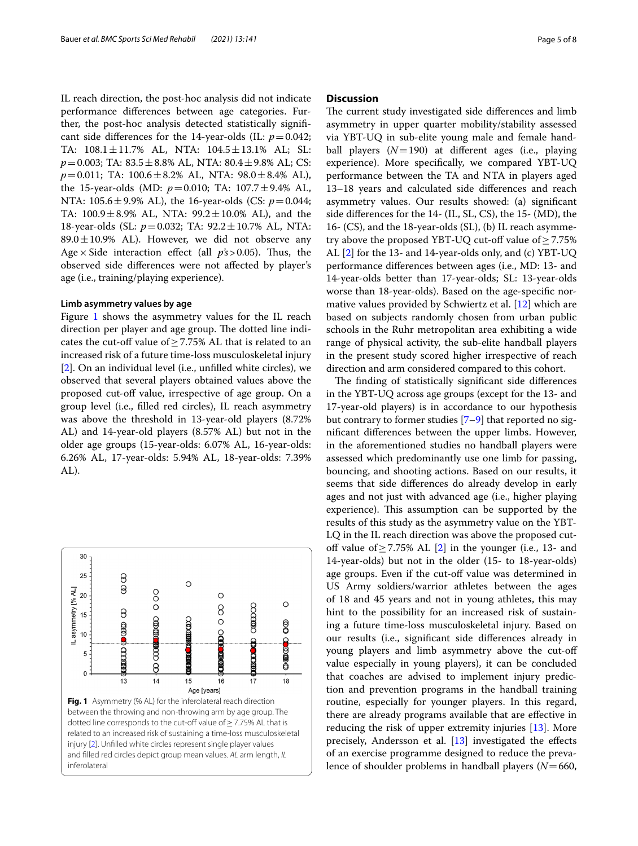IL reach direction, the post-hoc analysis did not indicate performance diferences between age categories. Further, the post-hoc analysis detected statistically signifcant side differences for the 14-year-olds (IL:  $p=0.042$ ; TA:  $108.1 \pm 11.7\%$  AL, NTA:  $104.5 \pm 13.1\%$  AL; SL: *p*=0.003; TA: 83.5±8.8% AL, NTA: 80.4±9.8% AL; CS: *p*=0.011; TA: 100.6±8.2% AL, NTA: 98.0±8.4% AL), the 15-year-olds (MD:  $p = 0.010$ ; TA:  $107.7 \pm 9.4\%$  AL, NTA: 105.6±9.9% AL), the 16-year-olds (CS: *p*=0.044; TA:  $100.9 \pm 8.9\%$  AL, NTA:  $99.2 \pm 10.0\%$  AL), and the 18-year-olds (SL: *p*=0.032; TA: 92.2±10.7% AL, NTA:  $89.0 \pm 10.9$ % AL). However, we did not observe any Age  $\times$  Side interaction effect (all  $p's > 0.05$ ). Thus, the observed side diferences were not afected by player's age (i.e., training/playing experience).

#### **Limb asymmetry values by age**

Figure [1](#page-4-0) shows the asymmetry values for the IL reach direction per player and age group. The dotted line indicates the cut-off value of  $\geq$  7.75% AL that is related to an increased risk of a future time-loss musculoskeletal injury [[2\]](#page-6-1). On an individual level (i.e., unflled white circles), we observed that several players obtained values above the proposed cut-off value, irrespective of age group. On a group level (i.e., flled red circles), IL reach asymmetry was above the threshold in 13-year-old players (8.72% AL) and 14-year-old players (8.57% AL) but not in the older age groups (15-year-olds: 6.07% AL, 16-year-olds: 6.26% AL, 17-year-olds: 5.94% AL, 18-year-olds: 7.39% AL).

<span id="page-4-0"></span>

# **Discussion**

The current study investigated side differences and limb asymmetry in upper quarter mobility/stability assessed via YBT-UQ in sub-elite young male and female handball players (*N*=190) at diferent ages (i.e., playing experience). More specifcally, we compared YBT-UQ performance between the TA and NTA in players aged 13–18 years and calculated side diferences and reach asymmetry values. Our results showed: (a) signifcant side diferences for the 14- (IL, SL, CS), the 15- (MD), the 16- (CS), and the 18-year-olds (SL), (b) IL reach asymmetry above the proposed YBT-UQ cut-off value of  $\geq$  7.75% AL [[2\]](#page-6-1) for the 13- and 14-year-olds only, and (c) YBT-UQ performance diferences between ages (i.e., MD: 13- and 14-year-olds better than 17-year-olds; SL: 13-year-olds worse than 18-year-olds). Based on the age-specifc normative values provided by Schwiertz et al. [[12\]](#page-7-6) which are based on subjects randomly chosen from urban public schools in the Ruhr metropolitan area exhibiting a wide range of physical activity, the sub-elite handball players in the present study scored higher irrespective of reach direction and arm considered compared to this cohort.

The finding of statistically significant side differences in the YBT-UQ across age groups (except for the 13- and 17-year-old players) is in accordance to our hypothesis but contrary to former studies [\[7](#page-7-1)[–9\]](#page-7-2) that reported no signifcant diferences between the upper limbs. However, in the aforementioned studies no handball players were assessed which predominantly use one limb for passing, bouncing, and shooting actions. Based on our results, it seems that side diferences do already develop in early ages and not just with advanced age (i.e., higher playing experience). This assumption can be supported by the results of this study as the asymmetry value on the YBT-LQ in the IL reach direction was above the proposed cutoff value of  $\geq$  7.75% AL [[2\]](#page-6-1) in the younger (i.e., 13- and 14-year-olds) but not in the older (15- to 18-year-olds) age groups. Even if the cut-off value was determined in US Army soldiers/warrior athletes between the ages of 18 and 45 years and not in young athletes, this may hint to the possibility for an increased risk of sustaining a future time-loss musculoskeletal injury. Based on our results (i.e., signifcant side diferences already in young players and limb asymmetry above the cut-of value especially in young players), it can be concluded that coaches are advised to implement injury prediction and prevention programs in the handball training routine, especially for younger players. In this regard, there are already programs available that are efective in reducing the risk of upper extremity injuries [[13](#page-7-7)]. More precisely, Andersson et al. [\[13](#page-7-7)] investigated the efects of an exercise programme designed to reduce the prevalence of shoulder problems in handball players (*N*=660,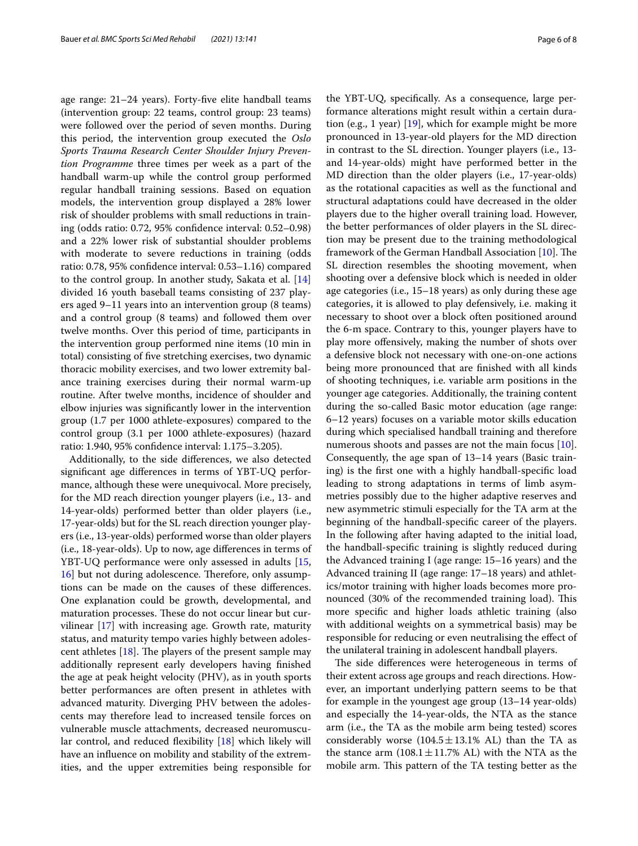age range: 21–24 years). Forty-fve elite handball teams (intervention group: 22 teams, control group: 23 teams) were followed over the period of seven months. During this period, the intervention group executed the *Oslo Sports Trauma Research Center Shoulder Injury Prevention Programme* three times per week as a part of the handball warm-up while the control group performed regular handball training sessions. Based on equation models, the intervention group displayed a 28% lower risk of shoulder problems with small reductions in training (odds ratio: 0.72, 95% confdence interval: 0.52–0.98) and a 22% lower risk of substantial shoulder problems with moderate to severe reductions in training (odds ratio: 0.78, 95% confdence interval: 0.53–1.16) compared to the control group. In another study, Sakata et al. [[14](#page-7-8)] divided 16 youth baseball teams consisting of 237 players aged 9–11 years into an intervention group (8 teams) and a control group (8 teams) and followed them over twelve months. Over this period of time, participants in the intervention group performed nine items (10 min in total) consisting of fve stretching exercises, two dynamic thoracic mobility exercises, and two lower extremity balance training exercises during their normal warm-up routine. After twelve months, incidence of shoulder and elbow injuries was signifcantly lower in the intervention group (1.7 per 1000 athlete-exposures) compared to the control group (3.1 per 1000 athlete-exposures) (hazard ratio: 1.940, 95% confdence interval: 1.175–3.205).

Additionally, to the side diferences, we also detected signifcant age diferences in terms of YBT-UQ performance, although these were unequivocal. More precisely, for the MD reach direction younger players (i.e., 13- and 14-year-olds) performed better than older players (i.e., 17-year-olds) but for the SL reach direction younger players (i.e., 13-year-olds) performed worse than older players (i.e., 18-year-olds). Up to now, age diferences in terms of YBT-UQ performance were only assessed in adults [\[15](#page-7-9), [16\]](#page-7-10) but not during adolescence. Therefore, only assumptions can be made on the causes of these diferences. One explanation could be growth, developmental, and maturation processes. These do not occur linear but curvilinear [\[17](#page-7-11)] with increasing age. Growth rate, maturity status, and maturity tempo varies highly between adolescent athletes  $[18]$  $[18]$ . The players of the present sample may additionally represent early developers having fnished the age at peak height velocity (PHV), as in youth sports better performances are often present in athletes with advanced maturity. Diverging PHV between the adolescents may therefore lead to increased tensile forces on vulnerable muscle attachments, decreased neuromuscu-lar control, and reduced flexibility [\[18\]](#page-7-12) which likely will have an infuence on mobility and stability of the extremities, and the upper extremities being responsible for the YBT-UQ, specifcally. As a consequence, large performance alterations might result within a certain duration (e.g., 1 year) [\[19](#page-7-13)], which for example might be more pronounced in 13-year-old players for the MD direction in contrast to the SL direction. Younger players (i.e., 13 and 14-year-olds) might have performed better in the MD direction than the older players (i.e., 17-year-olds) as the rotational capacities as well as the functional and structural adaptations could have decreased in the older players due to the higher overall training load. However, the better performances of older players in the SL direction may be present due to the training methodological framework of the German Handball Association [[10\]](#page-7-4). The SL direction resembles the shooting movement, when shooting over a defensive block which is needed in older age categories (i.e., 15–18 years) as only during these age categories, it is allowed to play defensively, i.e. making it necessary to shoot over a block often positioned around the 6-m space. Contrary to this, younger players have to play more ofensively, making the number of shots over a defensive block not necessary with one-on-one actions being more pronounced that are fnished with all kinds of shooting techniques, i.e. variable arm positions in the younger age categories. Additionally, the training content during the so-called Basic motor education (age range: 6–12 years) focuses on a variable motor skills education during which specialised handball training and therefore numerous shoots and passes are not the main focus [\[10](#page-7-4)]. Consequently, the age span of 13–14 years (Basic training) is the frst one with a highly handball-specifc load leading to strong adaptations in terms of limb asymmetries possibly due to the higher adaptive reserves and new asymmetric stimuli especially for the TA arm at the beginning of the handball-specifc career of the players. In the following after having adapted to the initial load, the handball-specifc training is slightly reduced during the Advanced training I (age range: 15–16 years) and the Advanced training II (age range: 17–18 years) and athletics/motor training with higher loads becomes more pronounced (30% of the recommended training load). This more specifc and higher loads athletic training (also with additional weights on a symmetrical basis) may be responsible for reducing or even neutralising the efect of the unilateral training in adolescent handball players.

The side differences were heterogeneous in terms of their extent across age groups and reach directions. However, an important underlying pattern seems to be that for example in the youngest age group (13–14 year-olds) and especially the 14-year-olds, the NTA as the stance arm (i.e., the TA as the mobile arm being tested) scores considerably worse  $(104.5 \pm 13.1\% \text{ AL})$  than the TA as the stance arm  $(108.1 \pm 11.7\% \text{ AL})$  with the NTA as the mobile arm. This pattern of the TA testing better as the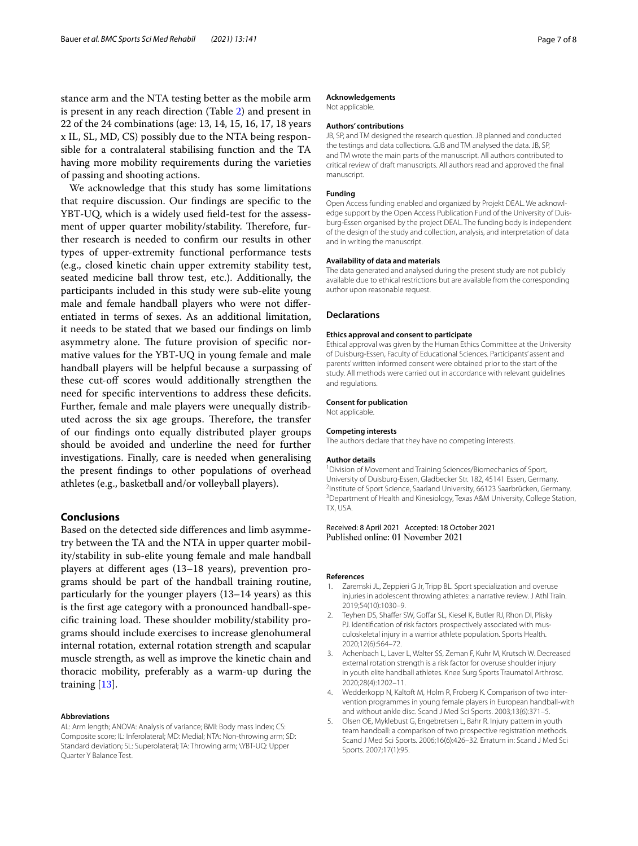stance arm and the NTA testing better as the mobile arm is present in any reach direction (Table [2](#page-3-0)) and present in 22 of the 24 combinations (age: 13, 14, 15, 16, 17, 18 years x IL, SL, MD, CS) possibly due to the NTA being responsible for a contralateral stabilising function and the TA having more mobility requirements during the varieties of passing and shooting actions.

We acknowledge that this study has some limitations that require discussion. Our fndings are specifc to the YBT-UQ, which is a widely used feld-test for the assessment of upper quarter mobility/stability. Therefore, further research is needed to confrm our results in other types of upper-extremity functional performance tests (e.g., closed kinetic chain upper extremity stability test, seated medicine ball throw test, etc.). Additionally, the participants included in this study were sub-elite young male and female handball players who were not diferentiated in terms of sexes. As an additional limitation, it needs to be stated that we based our fndings on limb asymmetry alone. The future provision of specific normative values for the YBT-UQ in young female and male handball players will be helpful because a surpassing of these cut-off scores would additionally strengthen the need for specifc interventions to address these defcits. Further, female and male players were unequally distributed across the six age groups. Therefore, the transfer of our fndings onto equally distributed player groups should be avoided and underline the need for further investigations. Finally, care is needed when generalising the present fndings to other populations of overhead athletes (e.g., basketball and/or volleyball players).

# **Conclusions**

Based on the detected side diferences and limb asymmetry between the TA and the NTA in upper quarter mobility/stability in sub-elite young female and male handball players at diferent ages (13–18 years), prevention programs should be part of the handball training routine, particularly for the younger players (13–14 years) as this is the frst age category with a pronounced handball-specific training load. These shoulder mobility/stability programs should include exercises to increase glenohumeral internal rotation, external rotation strength and scapular muscle strength, as well as improve the kinetic chain and thoracic mobility, preferably as a warm-up during the training [[13](#page-7-7)].

#### **Abbreviations**

AL: Arm length; ANOVA: Analysis of variance; BMI: Body mass index; CS: Composite score; IL: Inferolateral; MD: Medial; NTA: Non-throwing arm; SD: Standard deviation; SL: Superolateral; TA: Throwing arm; \YBT-UQ: Upper Quarter Y Balance Test.

#### **Acknowledgements**

Not applicable.

## **Authors' contributions**

JB, SP, and TM designed the research question. JB planned and conducted the testings and data collections. GJB and TM analysed the data. JB, SP, and TM wrote the main parts of the manuscript. All authors contributed to critical review of draft manuscripts. All authors read and approved the fnal manuscript.

#### **Funding**

Open Access funding enabled and organized by Projekt DEAL. We acknowledge support by the Open Access Publication Fund of the University of Duisburg-Essen organised by the project DEAL. The funding body is independent of the design of the study and collection, analysis, and interpretation of data and in writing the manuscript.

#### **Availability of data and materials**

The data generated and analysed during the present study are not publicly available due to ethical restrictions but are available from the corresponding author upon reasonable request.

## **Declarations**

# **Ethics approval and consent to participate**

Ethical approval was given by the Human Ethics Committee at the University of Duisburg-Essen, Faculty of Educational Sciences. Participants' assent and parents' written informed consent were obtained prior to the start of the study. All methods were carried out in accordance with relevant guidelines and regulations.

#### **Consent for publication**

Not applicable.

#### **Competing interests**

The authors declare that they have no competing interests.

#### **Author details**

<sup>1</sup> Division of Movement and Training Sciences/Biomechanics of Sport, University of Duisburg-Essen, Gladbecker Str. 182, 45141 Essen, Germany. 2 <sup>2</sup>Institute of Sport Science, Saarland University, 66123 Saarbrücken, Germany. <sup>3</sup> Department of Health and Kinesiology, Texas A&M University, College Station, TX, USA.

#### Received: 8 April 2021 Accepted: 18 October 2021 Published online: 01 November 2021

#### **References**

- <span id="page-6-0"></span>1. Zaremski JL, Zeppieri G Jr, Tripp BL. Sport specialization and overuse injuries in adolescent throwing athletes: a narrative review. J Athl Train. 2019;54(10):1030–9.
- <span id="page-6-1"></span>2. Teyhen DS, Shaffer SW, Goffar SL, Kiesel K, Butler RJ, Rhon DI, Plisky PJ. Identifcation of risk factors prospectively associated with musculoskeletal injury in a warrior athlete population. Sports Health. 2020;12(6):564–72.
- <span id="page-6-2"></span>3. Achenbach L, Laver L, Walter SS, Zeman F, Kuhr M, Krutsch W. Decreased external rotation strength is a risk factor for overuse shoulder injury in youth elite handball athletes. Knee Surg Sports Traumatol Arthrosc. 2020;28(4):1202–11.
- <span id="page-6-3"></span>4. Wedderkopp N, Kaltoft M, Holm R, Froberg K. Comparison of two intervention programmes in young female players in European handball-with and without ankle disc. Scand J Med Sci Sports. 2003;13(6):371–5.
- <span id="page-6-4"></span>5. Olsen OE, Myklebust G, Engebretsen L, Bahr R. Injury pattern in youth team handball: a comparison of two prospective registration methods. Scand J Med Sci Sports. 2006;16(6):426–32. Erratum in: Scand J Med Sci Sports. 2007;17(1):95.